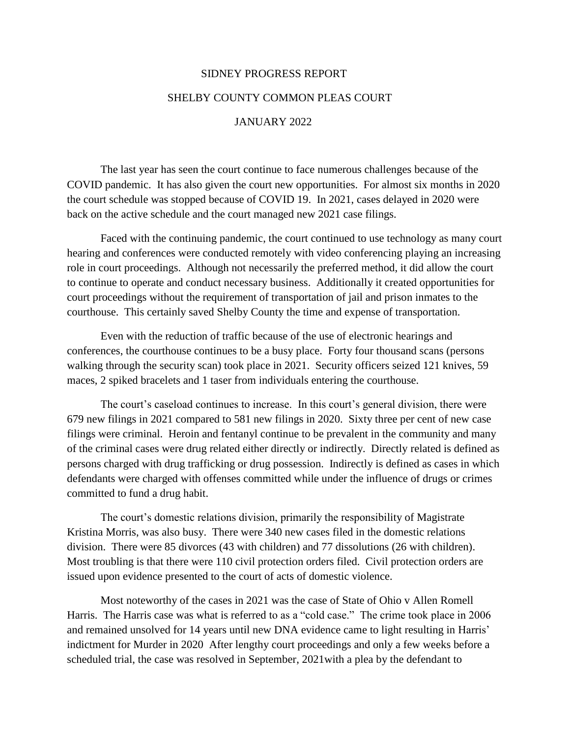## SIDNEY PROGRESS REPORT SHELBY COUNTY COMMON PLEAS COURT

## JANUARY 2022

The last year has seen the court continue to face numerous challenges because of the COVID pandemic. It has also given the court new opportunities. For almost six months in 2020 the court schedule was stopped because of COVID 19. In 2021, cases delayed in 2020 were back on the active schedule and the court managed new 2021 case filings.

Faced with the continuing pandemic, the court continued to use technology as many court hearing and conferences were conducted remotely with video conferencing playing an increasing role in court proceedings. Although not necessarily the preferred method, it did allow the court to continue to operate and conduct necessary business. Additionally it created opportunities for court proceedings without the requirement of transportation of jail and prison inmates to the courthouse. This certainly saved Shelby County the time and expense of transportation.

Even with the reduction of traffic because of the use of electronic hearings and conferences, the courthouse continues to be a busy place. Forty four thousand scans (persons walking through the security scan) took place in 2021. Security officers seized 121 knives, 59 maces, 2 spiked bracelets and 1 taser from individuals entering the courthouse.

The court's caseload continues to increase. In this court's general division, there were 679 new filings in 2021 compared to 581 new filings in 2020. Sixty three per cent of new case filings were criminal. Heroin and fentanyl continue to be prevalent in the community and many of the criminal cases were drug related either directly or indirectly. Directly related is defined as persons charged with drug trafficking or drug possession. Indirectly is defined as cases in which defendants were charged with offenses committed while under the influence of drugs or crimes committed to fund a drug habit.

The court's domestic relations division, primarily the responsibility of Magistrate Kristina Morris, was also busy. There were 340 new cases filed in the domestic relations division. There were 85 divorces (43 with children) and 77 dissolutions (26 with children). Most troubling is that there were 110 civil protection orders filed. Civil protection orders are issued upon evidence presented to the court of acts of domestic violence.

Most noteworthy of the cases in 2021 was the case of State of Ohio v Allen Romell Harris. The Harris case was what is referred to as a "cold case." The crime took place in 2006 and remained unsolved for 14 years until new DNA evidence came to light resulting in Harris' indictment for Murder in 2020 After lengthy court proceedings and only a few weeks before a scheduled trial, the case was resolved in September, 2021with a plea by the defendant to